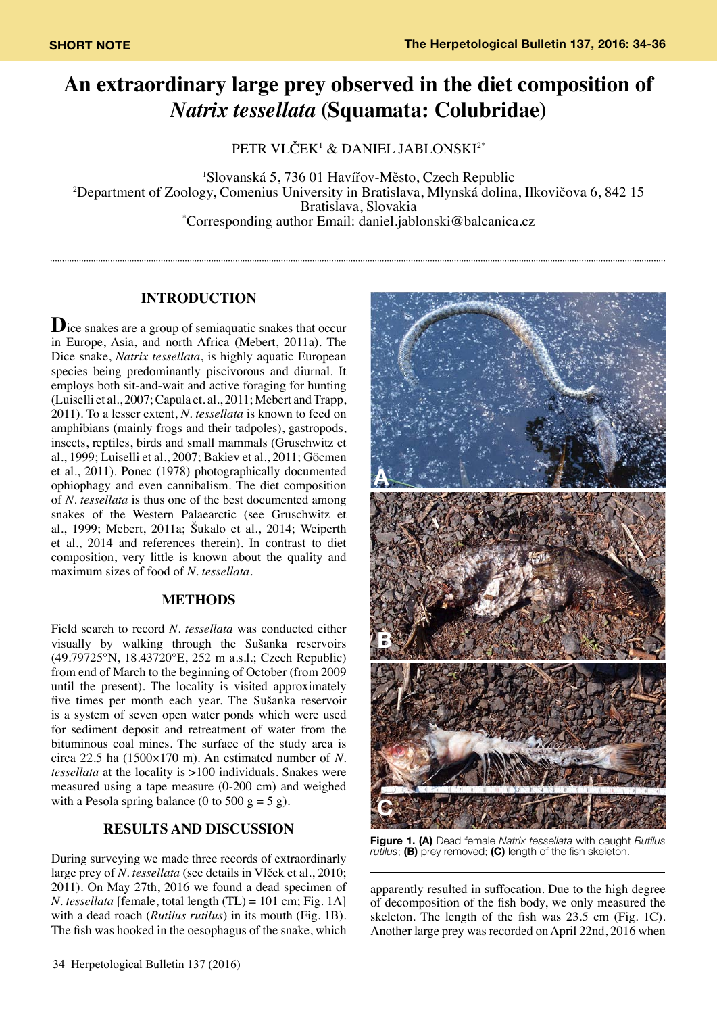# **An extraordinary large prey observed in the diet composition of**  *Natrix tessellata* **(Squamata: Colubridae)**

PETR VLČEK<sup>1</sup> & DANIEL JABLONSKI2\*

1 Slovanská 5, 736 01 Havířov-Město, Czech Republic 2 Department of Zoology, Comenius University in Bratislava, Mlynská dolina, Ilkovičova 6, 842 15 Bratislava, Slovakia \* Corresponding author Email: daniel.jablonski@balcanica.cz

## **INTRODUCTION**

**D**ice snakes are a group of semiaquatic snakes that occur in Europe, Asia, and north Africa (Mebert, 2011a). The Dice snake, *Natrix tessellata*, is highly aquatic European species being predominantly piscivorous and diurnal. It employs both sit-and-wait and active foraging for hunting (Luiselli et al., 2007; Capula et. al., 2011; Mebert and Trapp, 2011). To a lesser extent, *N. tessellata* is known to feed on amphibians (mainly frogs and their tadpoles), gastropods, insects, reptiles, birds and small mammals (Gruschwitz et al., 1999; Luiselli et al., 2007; Bakiev et al., 2011; Göcmen et al., 2011). Ponec (1978) photographically documented ophiophagy and even cannibalism. The diet composition of *N. tessellata* is thus one of the best documented among snakes of the Western Palaearctic (see Gruschwitz et al., 1999; Mebert, 2011a; Šukalo et al., 2014; Weiperth et al., 2014 and references therein). In contrast to diet composition, very little is known about the quality and maximum sizes of food of *N. tessellata*.

## **METHODS**

Field search to record *N. tessellata* was conducted either visually by walking through the Sušanka reservoirs (49.79725°N, 18.43720°E, 252 m a.s.l.; Czech Republic) from end of March to the beginning of October (from 2009 until the present). The locality is visited approximately five times per month each year. The Sušanka reservoir is a system of seven open water ponds which were used for sediment deposit and retreatment of water from the bituminous coal mines. The surface of the study area is circa 22.5 ha (1500×170 m). An estimated number of *N. tessellata* at the locality is >100 individuals. Snakes were measured using a tape measure (0-200 cm) and weighed with a Pesola spring balance (0 to 500  $g = 5 g$ ).

# **RESULTS AND DISCUSSION**

During surveying we made three records of extraordinarly large prey of *N. tessellata* (see details in Vlček et al., 2010; 2011). On May 27th, 2016 we found a dead specimen of *N. tessellata* [female, total length (TL) = 101 cm; Fig. 1A] with a dead roach (*Rutilus rutilus*) in its mouth (Fig. 1B). The fish was hooked in the oesophagus of the snake, which



**Figure 1. (A)** Dead female *Natrix tessellata* with caught *Rutilus rutilus*; **(B)** prey removed; **(C)** length of the fish skeleton.

apparently resulted in suffocation. Due to the high degree of decomposition of the fish body, we only measured the skeleton. The length of the fish was 23.5 cm (Fig. 1C). Another large prey was recorded on April 22nd, 2016 when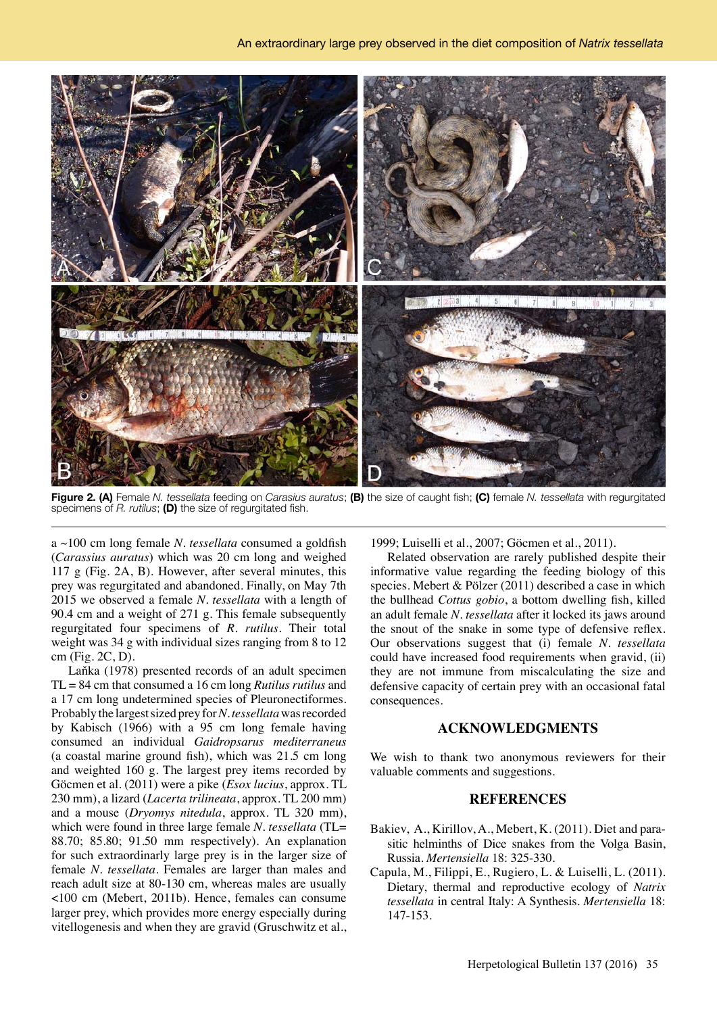

**Figure 2. (A)** Female *N. tessellata* feeding on *Carasius auratus*; **(B)** the size of caught fish; **(C)** female *N. tessellata* with regurgitated specimens of *R. rutilus*; **(D)** the size of regurgitated fish.

a ~100 cm long female *N. tessellata* consumed a goldfish (*Carassius auratus*) which was 20 cm long and weighed 117 g (Fig. 2A, B). However, after several minutes, this prey was regurgitated and abandoned. Finally, on May 7th 2015 we observed a female *N. tessellata* with a length of 90.4 cm and a weight of 271 g. This female subsequently regurgitated four specimens of *R. rutilus*. Their total weight was 34 g with individual sizes ranging from 8 to 12 cm (Fig. 2C, D).

Laňka (1978) presented records of an adult specimen TL = 84 cm that consumed a 16 cm long *Rutilus rutilus* and a 17 cm long undetermined species of Pleuronectiformes. Probably the largest sized prey for *N. tessellata* was recorded by Kabisch (1966) with a 95 cm long female having consumed an individual *Gaidropsarus mediterraneus* (a coastal marine ground fish), which was 21.5 cm long and weighted 160 g. The largest prey items recorded by Göcmen et al. (2011) were a pike (*Esox lucius*, approx. TL 230 mm), a lizard (*Lacerta trilineata*, approx. TL 200 mm) and a mouse (*Dryomys nitedula*, approx. TL 320 mm), which were found in three large female *N. tessellata* (TL= 88.70; 85.80; 91.50 mm respectively). An explanation for such extraordinarly large prey is in the larger size of female *N. tessellata*. Females are larger than males and reach adult size at 80-130 cm, whereas males are usually <100 cm (Mebert, 2011b). Hence, females can consume larger prey, which provides more energy especially during vitellogenesis and when they are gravid (Gruschwitz et al., 1999; Luiselli et al., 2007; Göcmen et al., 2011).

Related observation are rarely published despite their informative value regarding the feeding biology of this species. Mebert & Pölzer (2011) described a case in which the bullhead *Cottus gobio*, a bottom dwelling fish, killed an adult female *N. tessellata* after it locked its jaws around the snout of the snake in some type of defensive reflex. Our observations suggest that (i) female *N. tessellata*  could have increased food requirements when gravid, (ii) they are not immune from miscalculating the size and defensive capacity of certain prey with an occasional fatal consequences.

### **ACKNOWLEDGMENTS**

We wish to thank two anonymous reviewers for their valuable comments and suggestions.

### **REFERENCES**

- Bakiev, A., Kirillov, A., Mebert, K. (2011). Diet and parasitic helminths of Dice snakes from the Volga Basin, Russia. *Mertensiella* 18: 325-330.
- Capula, M., Filippi, E., Rugiero, L. & Luiselli, L. (2011). Dietary, thermal and reproductive ecology of *Natrix tessellata* in central Italy: A Synthesis. *Mertensiella* 18: 147-153.